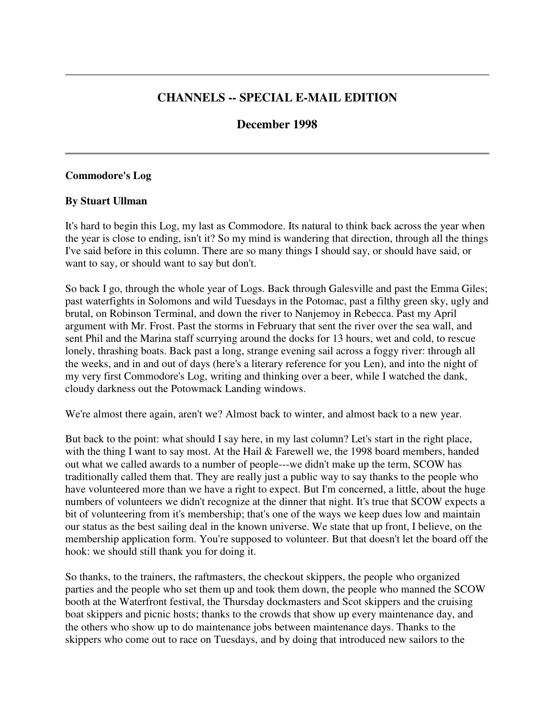## **CHANNELS -- SPECIAL E-MAIL EDITION**

### **December 1998**

#### **Commodore's Log**

#### **By Stuart Ullman**

It's hard to begin this Log, my last as Commodore. Its natural to think back across the year when the year is close to ending, isn't it? So my mind is wandering that direction, through all the things I've said before in this column. There are so many things I should say, or should have said, or want to say, or should want to say but don't.

So back I go, through the whole year of Logs. Back through Galesville and past the Emma Giles; past waterfights in Solomons and wild Tuesdays in the Potomac, past a filthy green sky, ugly and brutal, on Robinson Terminal, and down the river to Nanjemoy in Rebecca. Past my April argument with Mr. Frost. Past the storms in February that sent the river over the sea wall, and sent Phil and the Marina staff scurrying around the docks for 13 hours, wet and cold, to rescue lonely, thrashing boats. Back past a long, strange evening sail across a foggy river: through all the weeks, and in and out of days (here's a literary reference for you Len), and into the night of my very first Commodore's Log, writing and thinking over a beer, while I watched the dank, cloudy darkness out the Potowmack Landing windows.

We're almost there again, aren't we? Almost back to winter, and almost back to a new year.

But back to the point: what should I say here, in my last column? Let's start in the right place, with the thing I want to say most. At the Hail & Farewell we, the 1998 board members, handed out what we called awards to a number of people---we didn't make up the term, SCOW has traditionally called them that. They are really just a public way to say thanks to the people who have volunteered more than we have a right to expect. But I'm concerned, a little, about the huge numbers of volunteers we didn't recognize at the dinner that night. It's true that SCOW expects a bit of volunteering from it's membership; that's one of the ways we keep dues low and maintain our status as the best sailing deal in the known universe. We state that up front, I believe, on the membership application form. You're supposed to volunteer. But that doesn't let the board off the hook: we should still thank you for doing it.

So thanks, to the trainers, the raftmasters, the checkout skippers, the people who organized parties and the people who set them up and took them down, the people who manned the SCOW booth at the Waterfront festival, the Thursday dockmasters and Scot skippers and the cruising boat skippers and picnic hosts; thanks to the crowds that show up every maintenance day, and the others who show up to do maintenance jobs between maintenance days. Thanks to the skippers who come out to race on Tuesdays, and by doing that introduced new sailors to the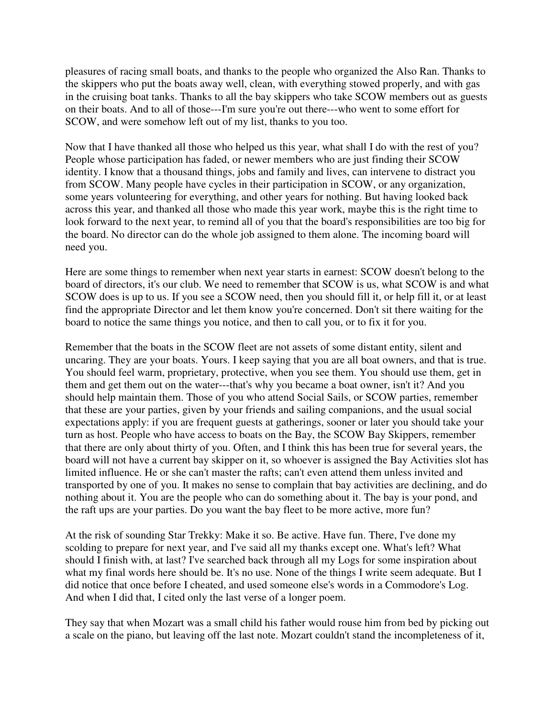pleasures of racing small boats, and thanks to the people who organized the Also Ran. Thanks to the skippers who put the boats away well, clean, with everything stowed properly, and with gas in the cruising boat tanks. Thanks to all the bay skippers who take SCOW members out as guests on their boats. And to all of those---I'm sure you're out there---who went to some effort for SCOW, and were somehow left out of my list, thanks to you too.

Now that I have thanked all those who helped us this year, what shall I do with the rest of you? People whose participation has faded, or newer members who are just finding their SCOW identity. I know that a thousand things, jobs and family and lives, can intervene to distract you from SCOW. Many people have cycles in their participation in SCOW, or any organization, some years volunteering for everything, and other years for nothing. But having looked back across this year, and thanked all those who made this year work, maybe this is the right time to look forward to the next year, to remind all of you that the board's responsibilities are too big for the board. No director can do the whole job assigned to them alone. The incoming board will need you.

Here are some things to remember when next year starts in earnest: SCOW doesn't belong to the board of directors, it's our club. We need to remember that SCOW is us, what SCOW is and what SCOW does is up to us. If you see a SCOW need, then you should fill it, or help fill it, or at least find the appropriate Director and let them know you're concerned. Don't sit there waiting for the board to notice the same things you notice, and then to call you, or to fix it for you.

Remember that the boats in the SCOW fleet are not assets of some distant entity, silent and uncaring. They are your boats. Yours. I keep saying that you are all boat owners, and that is true. You should feel warm, proprietary, protective, when you see them. You should use them, get in them and get them out on the water---that's why you became a boat owner, isn't it? And you should help maintain them. Those of you who attend Social Sails, or SCOW parties, remember that these are your parties, given by your friends and sailing companions, and the usual social expectations apply: if you are frequent guests at gatherings, sooner or later you should take your turn as host. People who have access to boats on the Bay, the SCOW Bay Skippers, remember that there are only about thirty of you. Often, and I think this has been true for several years, the board will not have a current bay skipper on it, so whoever is assigned the Bay Activities slot has limited influence. He or she can't master the rafts; can't even attend them unless invited and transported by one of you. It makes no sense to complain that bay activities are declining, and do nothing about it. You are the people who can do something about it. The bay is your pond, and the raft ups are your parties. Do you want the bay fleet to be more active, more fun?

At the risk of sounding Star Trekky: Make it so. Be active. Have fun. There, I've done my scolding to prepare for next year, and I've said all my thanks except one. What's left? What should I finish with, at last? I've searched back through all my Logs for some inspiration about what my final words here should be. It's no use. None of the things I write seem adequate. But I did notice that once before I cheated, and used someone else's words in a Commodore's Log. And when I did that, I cited only the last verse of a longer poem.

They say that when Mozart was a small child his father would rouse him from bed by picking out a scale on the piano, but leaving off the last note. Mozart couldn't stand the incompleteness of it,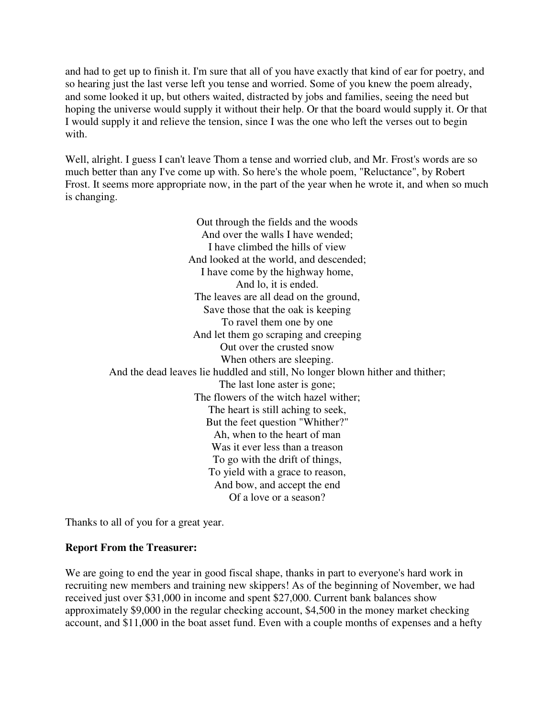and had to get up to finish it. I'm sure that all of you have exactly that kind of ear for poetry, and so hearing just the last verse left you tense and worried. Some of you knew the poem already, and some looked it up, but others waited, distracted by jobs and families, seeing the need but hoping the universe would supply it without their help. Or that the board would supply it. Or that I would supply it and relieve the tension, since I was the one who left the verses out to begin with.

Well, alright. I guess I can't leave Thom a tense and worried club, and Mr. Frost's words are so much better than any I've come up with. So here's the whole poem, "Reluctance", by Robert Frost. It seems more appropriate now, in the part of the year when he wrote it, and when so much is changing.

> Out through the fields and the woods And over the walls I have wended; I have climbed the hills of view And looked at the world, and descended; I have come by the highway home, And lo, it is ended. The leaves are all dead on the ground, Save those that the oak is keeping To ravel them one by one And let them go scraping and creeping Out over the crusted snow When others are sleeping. And the dead leaves lie huddled and still, No longer blown hither and thither; The last lone aster is gone; The flowers of the witch hazel wither; The heart is still aching to seek, But the feet question "Whither?" Ah, when to the heart of man Was it ever less than a treason To go with the drift of things, To yield with a grace to reason, And bow, and accept the end Of a love or a season?

Thanks to all of you for a great year.

#### **Report From the Treasurer:**

We are going to end the year in good fiscal shape, thanks in part to everyone's hard work in recruiting new members and training new skippers! As of the beginning of November, we had received just over \$31,000 in income and spent \$27,000. Current bank balances show approximately \$9,000 in the regular checking account, \$4,500 in the money market checking account, and \$11,000 in the boat asset fund. Even with a couple months of expenses and a hefty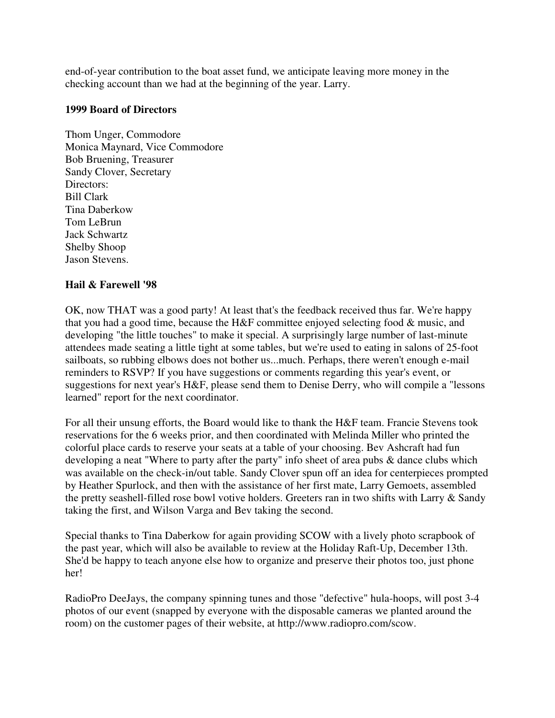end-of-year contribution to the boat asset fund, we anticipate leaving more money in the checking account than we had at the beginning of the year. Larry.

#### **1999 Board of Directors**

Thom Unger, Commodore Monica Maynard, Vice Commodore Bob Bruening, Treasurer Sandy Clover, Secretary Directors: Bill Clark Tina Daberkow Tom LeBrun Jack Schwartz Shelby Shoop Jason Stevens.

### **Hail & Farewell '98**

OK, now THAT was a good party! At least that's the feedback received thus far. We're happy that you had a good time, because the H&F committee enjoyed selecting food & music, and developing "the little touches" to make it special. A surprisingly large number of last-minute attendees made seating a little tight at some tables, but we're used to eating in salons of 25-foot sailboats, so rubbing elbows does not bother us...much. Perhaps, there weren't enough e-mail reminders to RSVP? If you have suggestions or comments regarding this year's event, or suggestions for next year's H&F, please send them to Denise Derry, who will compile a "lessons learned" report for the next coordinator.

For all their unsung efforts, the Board would like to thank the H&F team. Francie Stevens took reservations for the 6 weeks prior, and then coordinated with Melinda Miller who printed the colorful place cards to reserve your seats at a table of your choosing. Bev Ashcraft had fun developing a neat "Where to party after the party" info sheet of area pubs & dance clubs which was available on the check-in/out table. Sandy Clover spun off an idea for centerpieces prompted by Heather Spurlock, and then with the assistance of her first mate, Larry Gemoets, assembled the pretty seashell-filled rose bowl votive holders. Greeters ran in two shifts with Larry & Sandy taking the first, and Wilson Varga and Bev taking the second.

Special thanks to Tina Daberkow for again providing SCOW with a lively photo scrapbook of the past year, which will also be available to review at the Holiday Raft-Up, December 13th. She'd be happy to teach anyone else how to organize and preserve their photos too, just phone her!

RadioPro DeeJays, the company spinning tunes and those "defective" hula-hoops, will post 3-4 photos of our event (snapped by everyone with the disposable cameras we planted around the room) on the customer pages of their website, at http://www.radiopro.com/scow.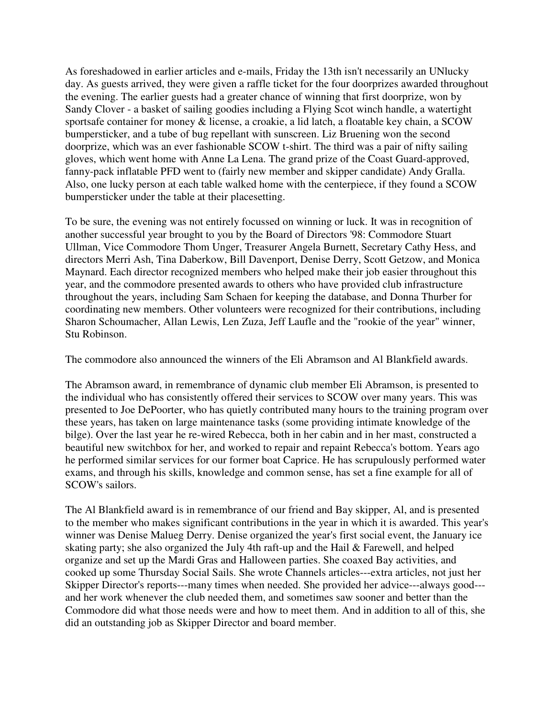As foreshadowed in earlier articles and e-mails, Friday the 13th isn't necessarily an UNlucky day. As guests arrived, they were given a raffle ticket for the four doorprizes awarded throughout the evening. The earlier guests had a greater chance of winning that first doorprize, won by Sandy Clover - a basket of sailing goodies including a Flying Scot winch handle, a watertight sportsafe container for money & license, a croakie, a lid latch, a floatable key chain, a SCOW bumpersticker, and a tube of bug repellant with sunscreen. Liz Bruening won the second doorprize, which was an ever fashionable SCOW t-shirt. The third was a pair of nifty sailing gloves, which went home with Anne La Lena. The grand prize of the Coast Guard-approved, fanny-pack inflatable PFD went to (fairly new member and skipper candidate) Andy Gralla. Also, one lucky person at each table walked home with the centerpiece, if they found a SCOW bumpersticker under the table at their placesetting.

To be sure, the evening was not entirely focussed on winning or luck. It was in recognition of another successful year brought to you by the Board of Directors '98: Commodore Stuart Ullman, Vice Commodore Thom Unger, Treasurer Angela Burnett, Secretary Cathy Hess, and directors Merri Ash, Tina Daberkow, Bill Davenport, Denise Derry, Scott Getzow, and Monica Maynard. Each director recognized members who helped make their job easier throughout this year, and the commodore presented awards to others who have provided club infrastructure throughout the years, including Sam Schaen for keeping the database, and Donna Thurber for coordinating new members. Other volunteers were recognized for their contributions, including Sharon Schoumacher, Allan Lewis, Len Zuza, Jeff Laufle and the "rookie of the year" winner, Stu Robinson.

The commodore also announced the winners of the Eli Abramson and Al Blankfield awards.

The Abramson award, in remembrance of dynamic club member Eli Abramson, is presented to the individual who has consistently offered their services to SCOW over many years. This was presented to Joe DePoorter, who has quietly contributed many hours to the training program over these years, has taken on large maintenance tasks (some providing intimate knowledge of the bilge). Over the last year he re-wired Rebecca, both in her cabin and in her mast, constructed a beautiful new switchbox for her, and worked to repair and repaint Rebecca's bottom. Years ago he performed similar services for our former boat Caprice. He has scrupulously performed water exams, and through his skills, knowledge and common sense, has set a fine example for all of SCOW's sailors.

The Al Blankfield award is in remembrance of our friend and Bay skipper, Al, and is presented to the member who makes significant contributions in the year in which it is awarded. This year's winner was Denise Malueg Derry. Denise organized the year's first social event, the January ice skating party; she also organized the July 4th raft-up and the Hail & Farewell, and helped organize and set up the Mardi Gras and Halloween parties. She coaxed Bay activities, and cooked up some Thursday Social Sails. She wrote Channels articles---extra articles, not just her Skipper Director's reports---many times when needed. She provided her advice---always good-- and her work whenever the club needed them, and sometimes saw sooner and better than the Commodore did what those needs were and how to meet them. And in addition to all of this, she did an outstanding job as Skipper Director and board member.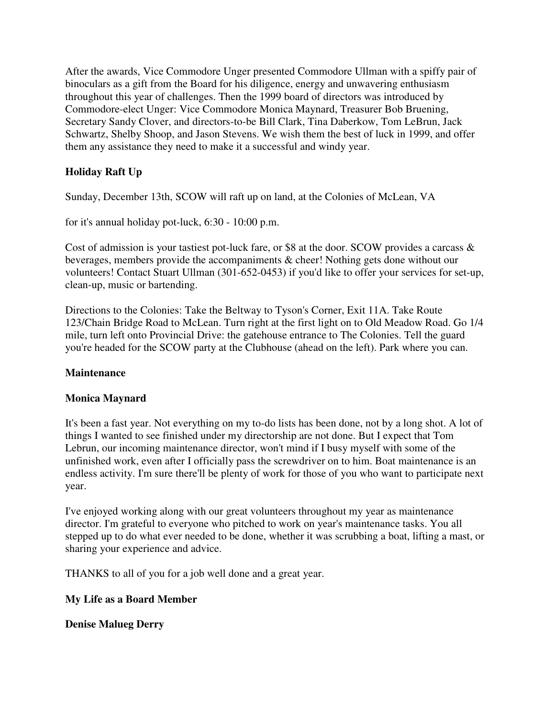After the awards, Vice Commodore Unger presented Commodore Ullman with a spiffy pair of binoculars as a gift from the Board for his diligence, energy and unwavering enthusiasm throughout this year of challenges. Then the 1999 board of directors was introduced by Commodore-elect Unger: Vice Commodore Monica Maynard, Treasurer Bob Bruening, Secretary Sandy Clover, and directors-to-be Bill Clark, Tina Daberkow, Tom LeBrun, Jack Schwartz, Shelby Shoop, and Jason Stevens. We wish them the best of luck in 1999, and offer them any assistance they need to make it a successful and windy year.

# **Holiday Raft Up**

Sunday, December 13th, SCOW will raft up on land, at the Colonies of McLean, VA

for it's annual holiday pot-luck, 6:30 - 10:00 p.m.

Cost of admission is your tastiest pot-luck fare, or \$8 at the door. SCOW provides a carcass & beverages, members provide the accompaniments & cheer! Nothing gets done without our volunteers! Contact Stuart Ullman (301-652-0453) if you'd like to offer your services for set-up, clean-up, music or bartending.

Directions to the Colonies: Take the Beltway to Tyson's Corner, Exit 11A. Take Route 123/Chain Bridge Road to McLean. Turn right at the first light on to Old Meadow Road. Go 1/4 mile, turn left onto Provincial Drive: the gatehouse entrance to The Colonies. Tell the guard you're headed for the SCOW party at the Clubhouse (ahead on the left). Park where you can.

### **Maintenance**

### **Monica Maynard**

It's been a fast year. Not everything on my to-do lists has been done, not by a long shot. A lot of things I wanted to see finished under my directorship are not done. But I expect that Tom Lebrun, our incoming maintenance director, won't mind if I busy myself with some of the unfinished work, even after I officially pass the screwdriver on to him. Boat maintenance is an endless activity. I'm sure there'll be plenty of work for those of you who want to participate next year.

I've enjoyed working along with our great volunteers throughout my year as maintenance director. I'm grateful to everyone who pitched to work on year's maintenance tasks. You all stepped up to do what ever needed to be done, whether it was scrubbing a boat, lifting a mast, or sharing your experience and advice.

THANKS to all of you for a job well done and a great year.

# **My Life as a Board Member**

# **Denise Malueg Derry**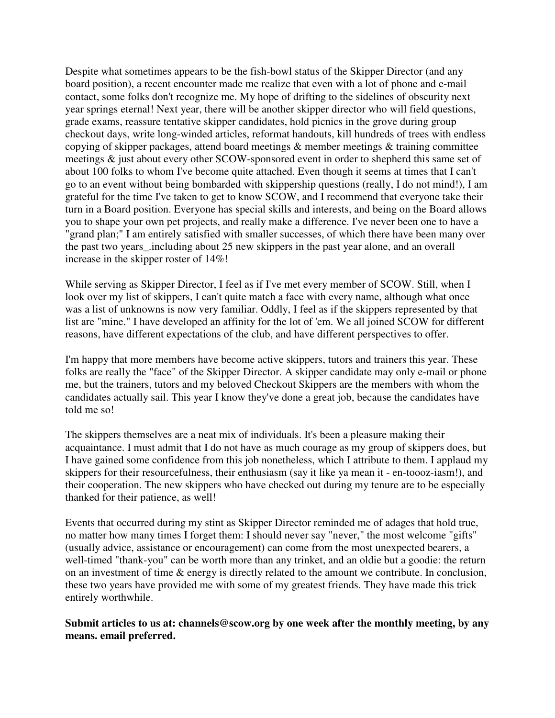Despite what sometimes appears to be the fish-bowl status of the Skipper Director (and any board position), a recent encounter made me realize that even with a lot of phone and e-mail contact, some folks don't recognize me. My hope of drifting to the sidelines of obscurity next year springs eternal! Next year, there will be another skipper director who will field questions, grade exams, reassure tentative skipper candidates, hold picnics in the grove during group checkout days, write long-winded articles, reformat handouts, kill hundreds of trees with endless copying of skipper packages, attend board meetings & member meetings & training committee meetings & just about every other SCOW-sponsored event in order to shepherd this same set of about 100 folks to whom I've become quite attached. Even though it seems at times that I can't go to an event without being bombarded with skippership questions (really, I do not mind!), I am grateful for the time I've taken to get to know SCOW, and I recommend that everyone take their turn in a Board position. Everyone has special skills and interests, and being on the Board allows you to shape your own pet projects, and really make a difference. I've never been one to have a "grand plan;" I am entirely satisfied with smaller successes, of which there have been many over the past two years\_.including about 25 new skippers in the past year alone, and an overall increase in the skipper roster of 14%!

While serving as Skipper Director, I feel as if I've met every member of SCOW. Still, when I look over my list of skippers, I can't quite match a face with every name, although what once was a list of unknowns is now very familiar. Oddly, I feel as if the skippers represented by that list are "mine." I have developed an affinity for the lot of 'em. We all joined SCOW for different reasons, have different expectations of the club, and have different perspectives to offer.

I'm happy that more members have become active skippers, tutors and trainers this year. These folks are really the "face" of the Skipper Director. A skipper candidate may only e-mail or phone me, but the trainers, tutors and my beloved Checkout Skippers are the members with whom the candidates actually sail. This year I know they've done a great job, because the candidates have told me so!

The skippers themselves are a neat mix of individuals. It's been a pleasure making their acquaintance. I must admit that I do not have as much courage as my group of skippers does, but I have gained some confidence from this job nonetheless, which I attribute to them. I applaud my skippers for their resourcefulness, their enthusiasm (say it like ya mean it - en-toooz-iasm!), and their cooperation. The new skippers who have checked out during my tenure are to be especially thanked for their patience, as well!

Events that occurred during my stint as Skipper Director reminded me of adages that hold true, no matter how many times I forget them: I should never say "never," the most welcome "gifts" (usually advice, assistance or encouragement) can come from the most unexpected bearers, a well-timed "thank-you" can be worth more than any trinket, and an oldie but a goodie: the return on an investment of time & energy is directly related to the amount we contribute. In conclusion, these two years have provided me with some of my greatest friends. They have made this trick entirely worthwhile.

**Submit articles to us at: channels@scow.org by one week after the monthly meeting, by any means. email preferred.**